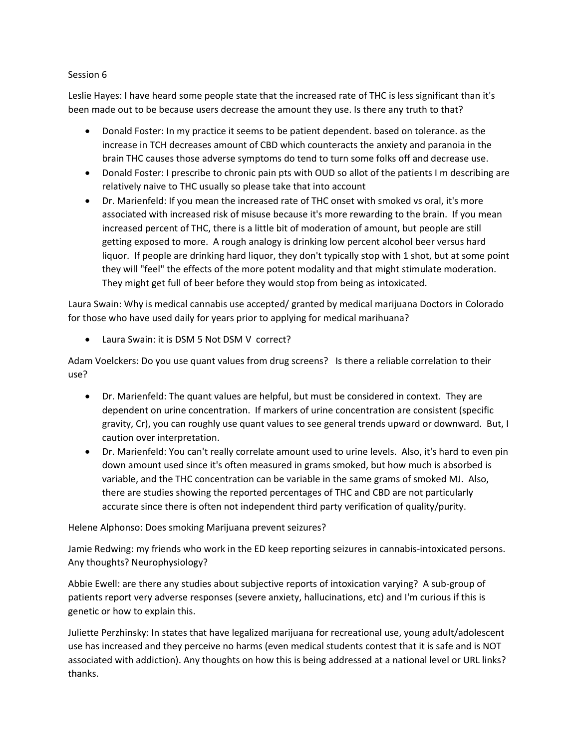## Session 6

Leslie Hayes: I have heard some people state that the increased rate of THC is less significant than it's been made out to be because users decrease the amount they use. Is there any truth to that?

- Donald Foster: In my practice it seems to be patient dependent. based on tolerance. as the increase in TCH decreases amount of CBD which counteracts the anxiety and paranoia in the brain THC causes those adverse symptoms do tend to turn some folks off and decrease use.
- Donald Foster: I prescribe to chronic pain pts with OUD so allot of the patients I m describing are relatively naive to THC usually so please take that into account
- Dr. Marienfeld: If you mean the increased rate of THC onset with smoked vs oral, it's more associated with increased risk of misuse because it's more rewarding to the brain. If you mean increased percent of THC, there is a little bit of moderation of amount, but people are still getting exposed to more. A rough analogy is drinking low percent alcohol beer versus hard liquor. If people are drinking hard liquor, they don't typically stop with 1 shot, but at some point they will "feel" the effects of the more potent modality and that might stimulate moderation. They might get full of beer before they would stop from being as intoxicated.

Laura Swain: Why is medical cannabis use accepted/ granted by medical marijuana Doctors in Colorado for those who have used daily for years prior to applying for medical marihuana?

• Laura Swain: it is DSM 5 Not DSM V correct?

Adam Voelckers: Do you use quant values from drug screens? Is there a reliable correlation to their use?

- Dr. Marienfeld: The quant values are helpful, but must be considered in context. They are dependent on urine concentration. If markers of urine concentration are consistent (specific gravity, Cr), you can roughly use quant values to see general trends upward or downward. But, I caution over interpretation.
- Dr. Marienfeld: You can't really correlate amount used to urine levels. Also, it's hard to even pin down amount used since it's often measured in grams smoked, but how much is absorbed is variable, and the THC concentration can be variable in the same grams of smoked MJ. Also, there are studies showing the reported percentages of THC and CBD are not particularly accurate since there is often not independent third party verification of quality/purity.

## Helene Alphonso: Does smoking Marijuana prevent seizures?

Jamie Redwing: my friends who work in the ED keep reporting seizures in cannabis-intoxicated persons. Any thoughts? Neurophysiology?

Abbie Ewell: are there any studies about subjective reports of intoxication varying? A sub-group of patients report very adverse responses (severe anxiety, hallucinations, etc) and I'm curious if this is genetic or how to explain this.

Juliette Perzhinsky: In states that have legalized marijuana for recreational use, young adult/adolescent use has increased and they perceive no harms (even medical students contest that it is safe and is NOT associated with addiction). Any thoughts on how this is being addressed at a national level or URL links? thanks.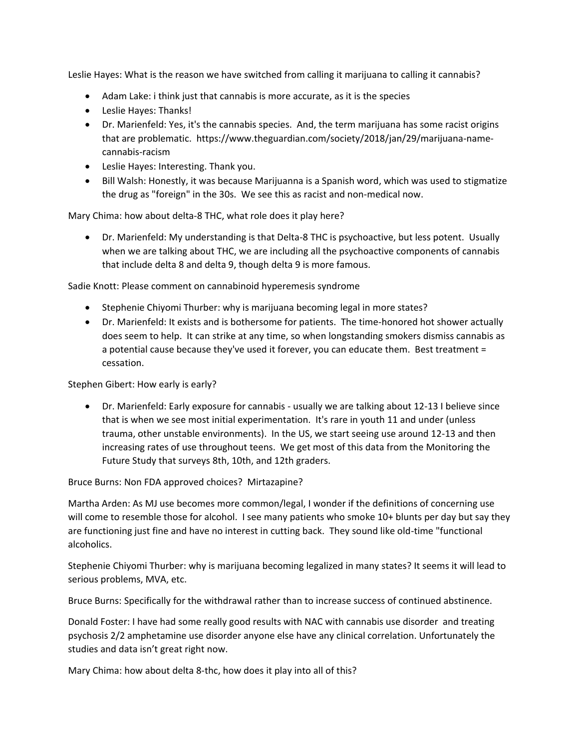Leslie Hayes: What is the reason we have switched from calling it marijuana to calling it cannabis?

- Adam Lake: i think just that cannabis is more accurate, as it is the species
- Leslie Hayes: Thanks!
- Dr. Marienfeld: Yes, it's the cannabis species. And, the term marijuana has some racist origins that are problematic. https://www.theguardian.com/society/2018/jan/29/marijuana-namecannabis-racism
- Leslie Hayes: Interesting. Thank you.
- Bill Walsh: Honestly, it was because Marijuanna is a Spanish word, which was used to stigmatize the drug as "foreign" in the 30s. We see this as racist and non-medical now.

Mary Chima: how about delta-8 THC, what role does it play here?

• Dr. Marienfeld: My understanding is that Delta-8 THC is psychoactive, but less potent. Usually when we are talking about THC, we are including all the psychoactive components of cannabis that include delta 8 and delta 9, though delta 9 is more famous.

Sadie Knott: Please comment on cannabinoid hyperemesis syndrome

- Stephenie Chiyomi Thurber: why is marijuana becoming legal in more states?
- Dr. Marienfeld: It exists and is bothersome for patients. The time-honored hot shower actually does seem to help. It can strike at any time, so when longstanding smokers dismiss cannabis as a potential cause because they've used it forever, you can educate them. Best treatment = cessation.

Stephen Gibert: How early is early?

• Dr. Marienfeld: Early exposure for cannabis - usually we are talking about 12-13 I believe since that is when we see most initial experimentation. It's rare in youth 11 and under (unless trauma, other unstable environments). In the US, we start seeing use around 12-13 and then increasing rates of use throughout teens. We get most of this data from the Monitoring the Future Study that surveys 8th, 10th, and 12th graders.

Bruce Burns: Non FDA approved choices? Mirtazapine?

Martha Arden: As MJ use becomes more common/legal, I wonder if the definitions of concerning use will come to resemble those for alcohol. I see many patients who smoke 10+ blunts per day but say they are functioning just fine and have no interest in cutting back. They sound like old-time "functional alcoholics.

Stephenie Chiyomi Thurber: why is marijuana becoming legalized in many states? It seems it will lead to serious problems, MVA, etc.

Bruce Burns: Specifically for the withdrawal rather than to increase success of continued abstinence.

Donald Foster: I have had some really good results with NAC with cannabis use disorder and treating psychosis 2/2 amphetamine use disorder anyone else have any clinical correlation. Unfortunately the studies and data isn't great right now.

Mary Chima: how about delta 8-thc, how does it play into all of this?